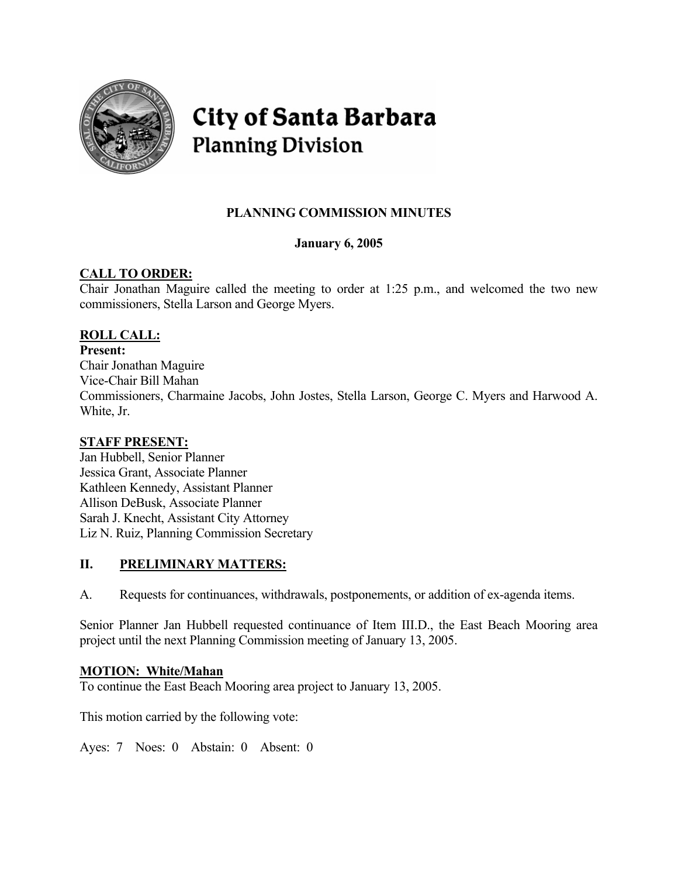

# **City of Santa Barbara Planning Division**

# **PLANNING COMMISSION MINUTES**

#### **January 6, 2005**

#### **CALL TO ORDER:**

Chair Jonathan Maguire called the meeting to order at 1:25 p.m., and welcomed the two new commissioners, Stella Larson and George Myers.

#### **ROLL CALL:**

#### **Present:**

Chair Jonathan Maguire Vice-Chair Bill Mahan Commissioners, Charmaine Jacobs, John Jostes, Stella Larson, George C. Myers and Harwood A. White, Jr.

#### **STAFF PRESENT:**

Jan Hubbell, Senior Planner Jessica Grant, Associate Planner Kathleen Kennedy, Assistant Planner Allison DeBusk, Associate Planner Sarah J. Knecht, Assistant City Attorney Liz N. Ruiz, Planning Commission Secretary

#### **II. PRELIMINARY MATTERS:**

A. Requests for continuances, withdrawals, postponements, or addition of ex-agenda items.

Senior Planner Jan Hubbell requested continuance of Item III.D., the East Beach Mooring area project until the next Planning Commission meeting of January 13, 2005.

#### **MOTION: White/Mahan**

To continue the East Beach Mooring area project to January 13, 2005.

This motion carried by the following vote:

Ayes: 7 Noes: 0 Abstain: 0 Absent: 0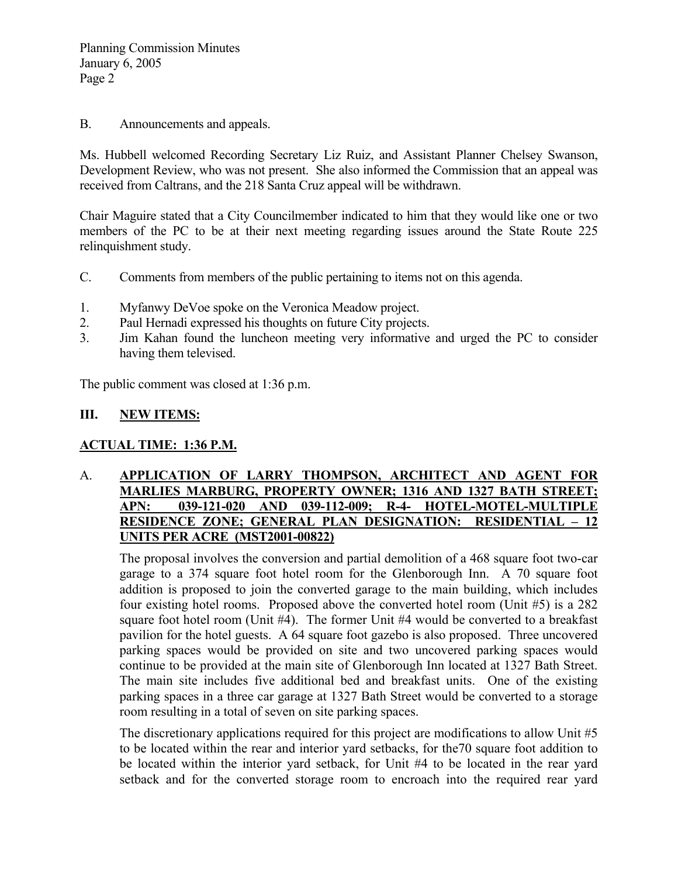B. Announcements and appeals.

Ms. Hubbell welcomed Recording Secretary Liz Ruiz, and Assistant Planner Chelsey Swanson, Development Review, who was not present. She also informed the Commission that an appeal was received from Caltrans, and the 218 Santa Cruz appeal will be withdrawn.

Chair Maguire stated that a City Councilmember indicated to him that they would like one or two members of the PC to be at their next meeting regarding issues around the State Route 225 relinquishment study.

- C. Comments from members of the public pertaining to items not on this agenda.
- 1. Myfanwy DeVoe spoke on the Veronica Meadow project.
- 2. Paul Hernadi expressed his thoughts on future City projects.
- 3. Jim Kahan found the luncheon meeting very informative and urged the PC to consider having them televised.

The public comment was closed at 1:36 p.m.

#### **III. NEW ITEMS:**

#### **ACTUAL TIME: 1:36 P.M.**

#### A. **APPLICATION OF LARRY THOMPSON, ARCHITECT AND AGENT FOR MARLIES MARBURG, PROPERTY OWNER; 1316 AND 1327 BATH STREET; APN: 039-121-020 AND 039-112-009; R-4- HOTEL-MOTEL-MULTIPLE RESIDENCE ZONE; GENERAL PLAN DESIGNATION: RESIDENTIAL – 12 UNITS PER ACRE (MST2001-00822)**

The proposal involves the conversion and partial demolition of a 468 square foot two-car garage to a 374 square foot hotel room for the Glenborough Inn. A 70 square foot addition is proposed to join the converted garage to the main building, which includes four existing hotel rooms. Proposed above the converted hotel room (Unit #5) is a 282 square foot hotel room (Unit #4). The former Unit #4 would be converted to a breakfast pavilion for the hotel guests. A 64 square foot gazebo is also proposed. Three uncovered parking spaces would be provided on site and two uncovered parking spaces would continue to be provided at the main site of Glenborough Inn located at 1327 Bath Street. The main site includes five additional bed and breakfast units. One of the existing parking spaces in a three car garage at 1327 Bath Street would be converted to a storage room resulting in a total of seven on site parking spaces.

The discretionary applications required for this project are modifications to allow Unit #5 to be located within the rear and interior yard setbacks, for the70 square foot addition to be located within the interior yard setback, for Unit #4 to be located in the rear yard setback and for the converted storage room to encroach into the required rear yard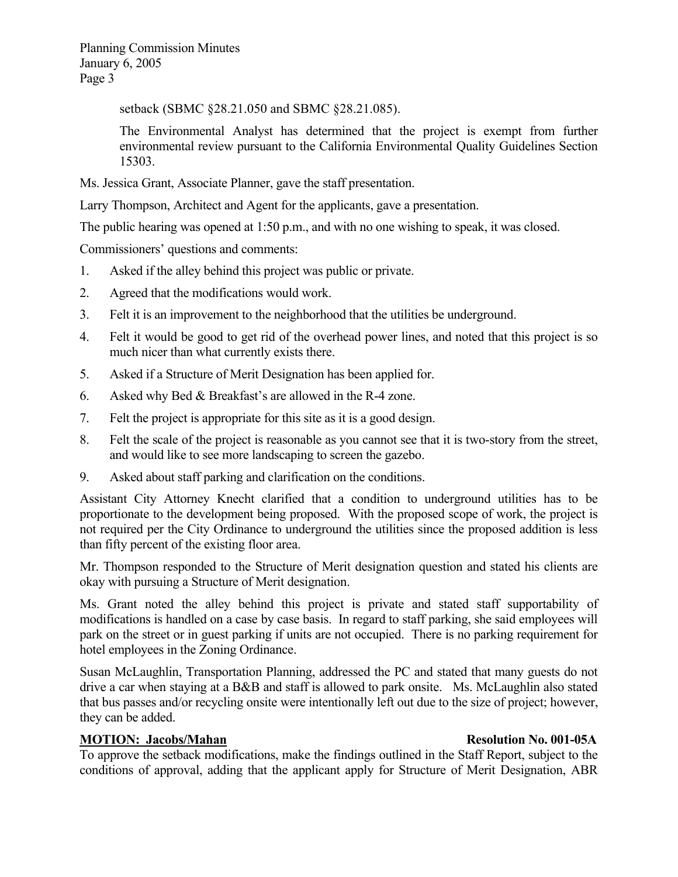setback (SBMC §28.21.050 and SBMC §28.21.085).

The Environmental Analyst has determined that the project is exempt from further environmental review pursuant to the California Environmental Quality Guidelines Section 15303.

Ms. Jessica Grant, Associate Planner, gave the staff presentation.

Larry Thompson, Architect and Agent for the applicants, gave a presentation.

The public hearing was opened at 1:50 p.m., and with no one wishing to speak, it was closed.

Commissioners' questions and comments:

- 1. Asked if the alley behind this project was public or private.
- 2. Agreed that the modifications would work.
- 3. Felt it is an improvement to the neighborhood that the utilities be underground.
- 4. Felt it would be good to get rid of the overhead power lines, and noted that this project is so much nicer than what currently exists there.
- 5. Asked if a Structure of Merit Designation has been applied for.
- 6. Asked why Bed & Breakfast's are allowed in the R-4 zone.
- 7. Felt the project is appropriate for this site as it is a good design.
- 8. Felt the scale of the project is reasonable as you cannot see that it is two-story from the street, and would like to see more landscaping to screen the gazebo.
- 9. Asked about staff parking and clarification on the conditions.

Assistant City Attorney Knecht clarified that a condition to underground utilities has to be proportionate to the development being proposed. With the proposed scope of work, the project is not required per the City Ordinance to underground the utilities since the proposed addition is less than fifty percent of the existing floor area.

Mr. Thompson responded to the Structure of Merit designation question and stated his clients are okay with pursuing a Structure of Merit designation.

Ms. Grant noted the alley behind this project is private and stated staff supportability of modifications is handled on a case by case basis. In regard to staff parking, she said employees will park on the street or in guest parking if units are not occupied. There is no parking requirement for hotel employees in the Zoning Ordinance.

Susan McLaughlin, Transportation Planning, addressed the PC and stated that many guests do not drive a car when staying at a B&B and staff is allowed to park onsite. Ms. McLaughlin also stated that bus passes and/or recycling onsite were intentionally left out due to the size of project; however, they can be added.

#### **MOTION: Jacobs/Mahan Resolution No. 001-05A Resolution No. 001-05A**

To approve the setback modifications, make the findings outlined in the Staff Report, subject to the conditions of approval, adding that the applicant apply for Structure of Merit Designation, ABR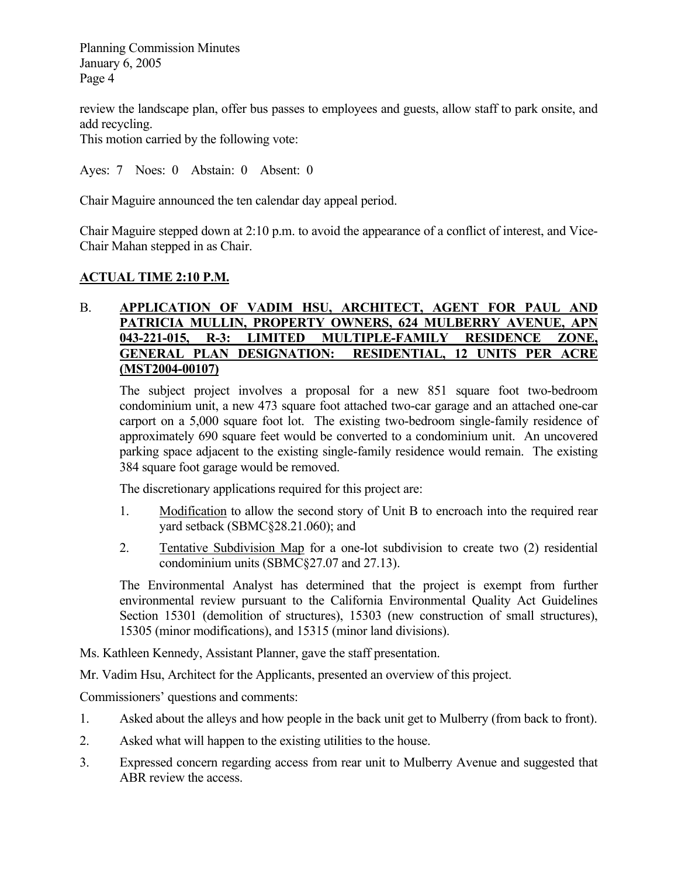review the landscape plan, offer bus passes to employees and guests, allow staff to park onsite, and add recycling.

This motion carried by the following vote:

Ayes: 7 Noes: 0 Abstain: 0 Absent: 0

Chair Maguire announced the ten calendar day appeal period.

Chair Maguire stepped down at 2:10 p.m. to avoid the appearance of a conflict of interest, and Vice-Chair Mahan stepped in as Chair.

#### **ACTUAL TIME 2:10 P.M.**

#### B. **APPLICATION OF VADIM HSU, ARCHITECT, AGENT FOR PAUL AND**  PATRICIA MULLIN, PROPERTY OWNERS, 624 MULBERRY AVENUE, APN **043-221-015, R-3: LIMITED MULTIPLE-FAMILY RESIDENCE ZONE, GENERAL PLAN DESIGNATION: RESIDENTIAL, 12 UNITS PER ACRE (MST2004-00107)**

The subject project involves a proposal for a new 851 square foot two-bedroom condominium unit, a new 473 square foot attached two-car garage and an attached one-car carport on a 5,000 square foot lot. The existing two-bedroom single-family residence of approximately 690 square feet would be converted to a condominium unit. An uncovered parking space adjacent to the existing single-family residence would remain. The existing 384 square foot garage would be removed.

The discretionary applications required for this project are:

- 1. Modification to allow the second story of Unit B to encroach into the required rear yard setback (SBMC§28.21.060); and
- 2. Tentative Subdivision Map for a one-lot subdivision to create two (2) residential condominium units (SBMC§27.07 and 27.13).

The Environmental Analyst has determined that the project is exempt from further environmental review pursuant to the California Environmental Quality Act Guidelines Section 15301 (demolition of structures), 15303 (new construction of small structures), 15305 (minor modifications), and 15315 (minor land divisions).

Ms. Kathleen Kennedy, Assistant Planner, gave the staff presentation.

Mr. Vadim Hsu, Architect for the Applicants, presented an overview of this project.

Commissioners' questions and comments:

- 1. Asked about the alleys and how people in the back unit get to Mulberry (from back to front).
- 2. Asked what will happen to the existing utilities to the house.
- 3. Expressed concern regarding access from rear unit to Mulberry Avenue and suggested that ABR review the access.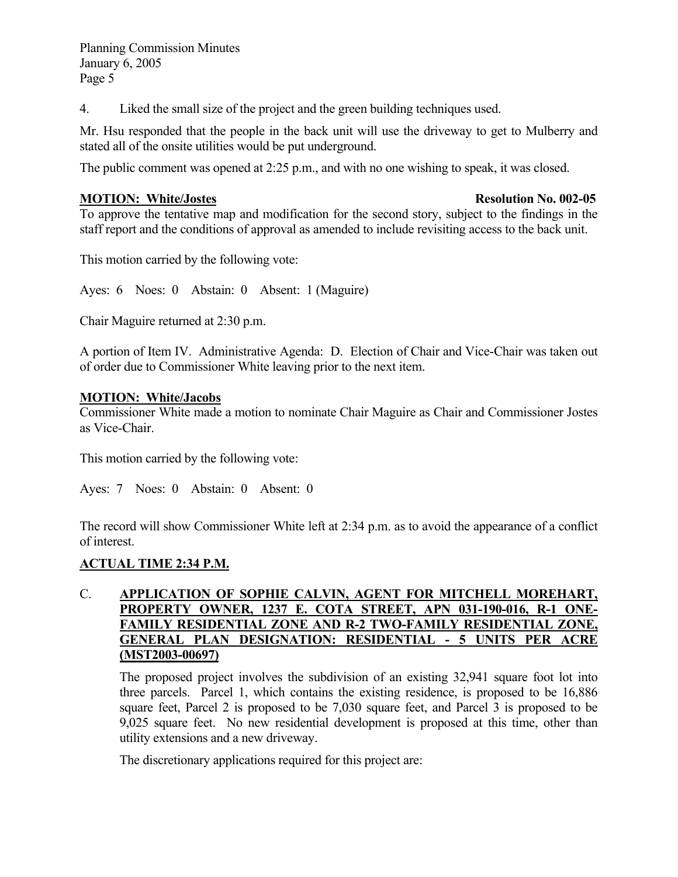4. Liked the small size of the project and the green building techniques used.

Mr. Hsu responded that the people in the back unit will use the driveway to get to Mulberry and stated all of the onsite utilities would be put underground.

The public comment was opened at 2:25 p.m., and with no one wishing to speak, it was closed.

#### **MOTION:** White/Jostes Resolution No. 002-05

To approve the tentative map and modification for the second story, subject to the findings in the staff report and the conditions of approval as amended to include revisiting access to the back unit.

This motion carried by the following vote:

Ayes: 6 Noes: 0 Abstain: 0 Absent: 1 (Maguire)

Chair Maguire returned at 2:30 p.m.

A portion of Item IV. Administrative Agenda: D. Election of Chair and Vice-Chair was taken out of order due to Commissioner White leaving prior to the next item.

#### **MOTION: White/Jacobs**

Commissioner White made a motion to nominate Chair Maguire as Chair and Commissioner Jostes as Vice-Chair.

This motion carried by the following vote:

Ayes: 7 Noes: 0 Abstain: 0 Absent: 0

The record will show Commissioner White left at 2:34 p.m. as to avoid the appearance of a conflict of interest.

#### **ACTUAL TIME 2:34 P.M.**

#### C. **APPLICATION OF SOPHIE CALVIN, AGENT FOR MITCHELL MOREHART, PROPERTY OWNER, 1237 E. COTA STREET, APN 031-190-016, R-1 ONE-FAMILY RESIDENTIAL ZONE AND R-2 TWO-FAMILY RESIDENTIAL ZONE, GENERAL PLAN DESIGNATION: RESIDENTIAL - 5 UNITS PER ACRE (MST2003-00697)**

The proposed project involves the subdivision of an existing 32,941 square foot lot into three parcels. Parcel 1, which contains the existing residence, is proposed to be 16,886 square feet, Parcel 2 is proposed to be 7,030 square feet, and Parcel 3 is proposed to be 9,025 square feet. No new residential development is proposed at this time, other than utility extensions and a new driveway.

The discretionary applications required for this project are: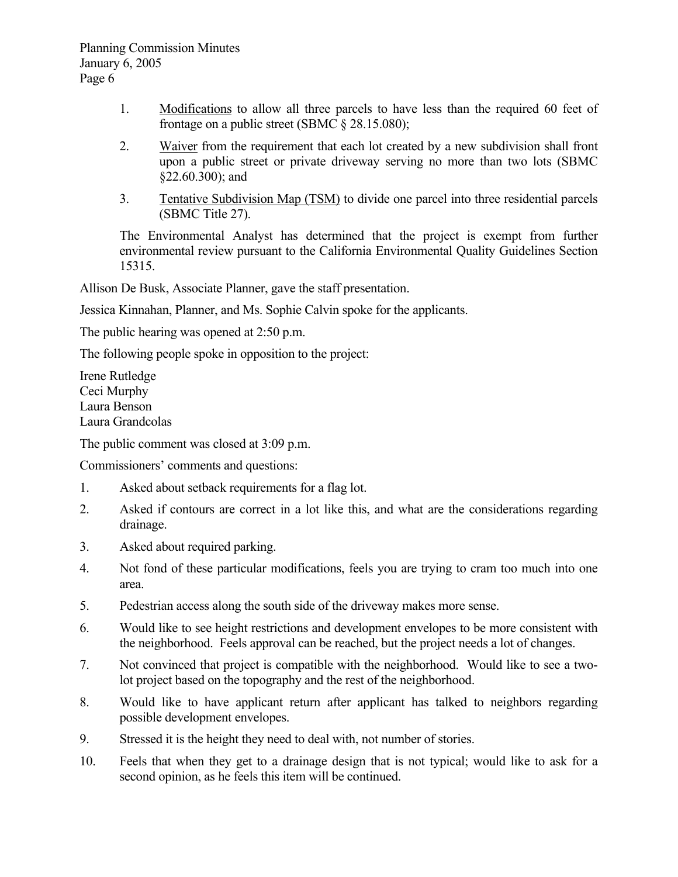- 1. Modifications to allow all three parcels to have less than the required 60 feet of frontage on a public street (SBMC § 28.15.080);
- 2. Waiver from the requirement that each lot created by a new subdivision shall front upon a public street or private driveway serving no more than two lots (SBMC §22.60.300); and
- 3. Tentative Subdivision Map (TSM) to divide one parcel into three residential parcels (SBMC Title 27).

The Environmental Analyst has determined that the project is exempt from further environmental review pursuant to the California Environmental Quality Guidelines Section 15315.

Allison De Busk, Associate Planner, gave the staff presentation.

Jessica Kinnahan, Planner, and Ms. Sophie Calvin spoke for the applicants.

The public hearing was opened at 2:50 p.m.

The following people spoke in opposition to the project:

Irene Rutledge Ceci Murphy Laura Benson Laura Grandcolas

The public comment was closed at 3:09 p.m.

Commissioners' comments and questions:

- 1. Asked about setback requirements for a flag lot.
- 2. Asked if contours are correct in a lot like this, and what are the considerations regarding drainage.
- 3. Asked about required parking.
- 4. Not fond of these particular modifications, feels you are trying to cram too much into one area.
- 5. Pedestrian access along the south side of the driveway makes more sense.
- 6. Would like to see height restrictions and development envelopes to be more consistent with the neighborhood. Feels approval can be reached, but the project needs a lot of changes.
- 7. Not convinced that project is compatible with the neighborhood. Would like to see a twolot project based on the topography and the rest of the neighborhood.
- 8. Would like to have applicant return after applicant has talked to neighbors regarding possible development envelopes.
- 9. Stressed it is the height they need to deal with, not number of stories.
- 10. Feels that when they get to a drainage design that is not typical; would like to ask for a second opinion, as he feels this item will be continued.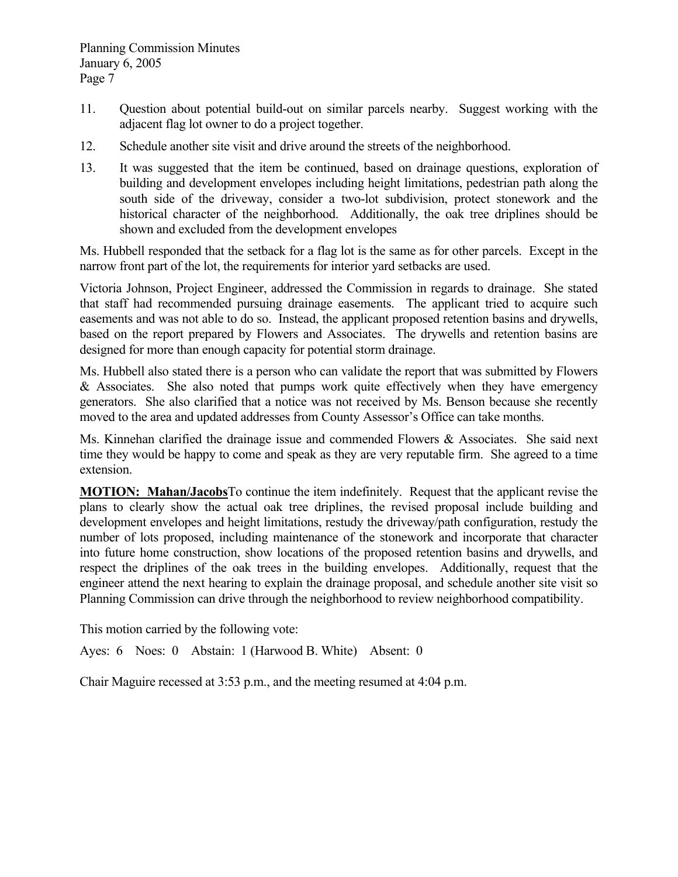- 11. Question about potential build-out on similar parcels nearby. Suggest working with the adjacent flag lot owner to do a project together.
- 12. Schedule another site visit and drive around the streets of the neighborhood.
- 13. It was suggested that the item be continued, based on drainage questions, exploration of building and development envelopes including height limitations, pedestrian path along the south side of the driveway, consider a two-lot subdivision, protect stonework and the historical character of the neighborhood. Additionally, the oak tree driplines should be shown and excluded from the development envelopes

Ms. Hubbell responded that the setback for a flag lot is the same as for other parcels. Except in the narrow front part of the lot, the requirements for interior yard setbacks are used.

Victoria Johnson, Project Engineer, addressed the Commission in regards to drainage. She stated that staff had recommended pursuing drainage easements. The applicant tried to acquire such easements and was not able to do so. Instead, the applicant proposed retention basins and drywells, based on the report prepared by Flowers and Associates. The drywells and retention basins are designed for more than enough capacity for potential storm drainage.

Ms. Hubbell also stated there is a person who can validate the report that was submitted by Flowers & Associates. She also noted that pumps work quite effectively when they have emergency generators. She also clarified that a notice was not received by Ms. Benson because she recently moved to the area and updated addresses from County Assessor's Office can take months.

Ms. Kinnehan clarified the drainage issue and commended Flowers & Associates. She said next time they would be happy to come and speak as they are very reputable firm. She agreed to a time extension.

**MOTION: Mahan/Jacobs**To continue the item indefinitely. Request that the applicant revise the plans to clearly show the actual oak tree driplines, the revised proposal include building and development envelopes and height limitations, restudy the driveway/path configuration, restudy the number of lots proposed, including maintenance of the stonework and incorporate that character into future home construction, show locations of the proposed retention basins and drywells, and respect the driplines of the oak trees in the building envelopes. Additionally, request that the engineer attend the next hearing to explain the drainage proposal, and schedule another site visit so Planning Commission can drive through the neighborhood to review neighborhood compatibility.

This motion carried by the following vote:

Ayes: 6 Noes: 0 Abstain: 1 (Harwood B. White) Absent: 0

Chair Maguire recessed at 3:53 p.m., and the meeting resumed at 4:04 p.m.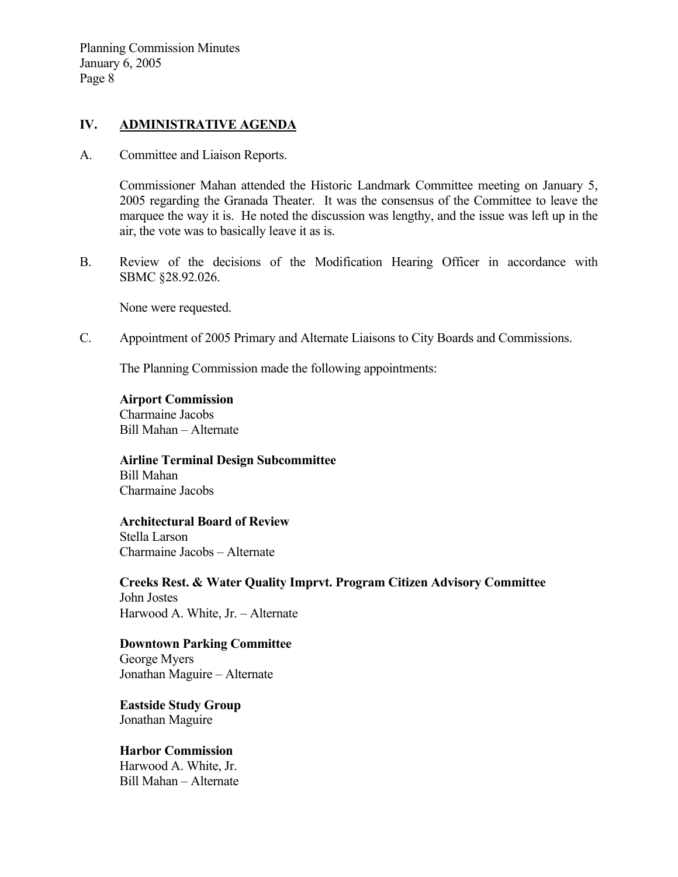#### **IV. ADMINISTRATIVE AGENDA**

A. Committee and Liaison Reports.

Commissioner Mahan attended the Historic Landmark Committee meeting on January 5, 2005 regarding the Granada Theater. It was the consensus of the Committee to leave the marquee the way it is. He noted the discussion was lengthy, and the issue was left up in the air, the vote was to basically leave it as is.

B. Review of the decisions of the Modification Hearing Officer in accordance with SBMC §28.92.026.

None were requested.

C. Appointment of 2005 Primary and Alternate Liaisons to City Boards and Commissions.

The Planning Commission made the following appointments:

**Airport Commission**  Charmaine Jacobs Bill Mahan – Alternate

**Airline Terminal Design Subcommittee**  Bill Mahan Charmaine Jacobs

**Architectural Board of Review**  Stella Larson Charmaine Jacobs – Alternate

**Creeks Rest. & Water Quality Imprvt. Program Citizen Advisory Committee**  John Jostes Harwood A. White, Jr. – Alternate

**Downtown Parking Committee**  George Myers Jonathan Maguire – Alternate

**Eastside Study Group**  Jonathan Maguire

**Harbor Commission**  Harwood A. White, Jr. Bill Mahan – Alternate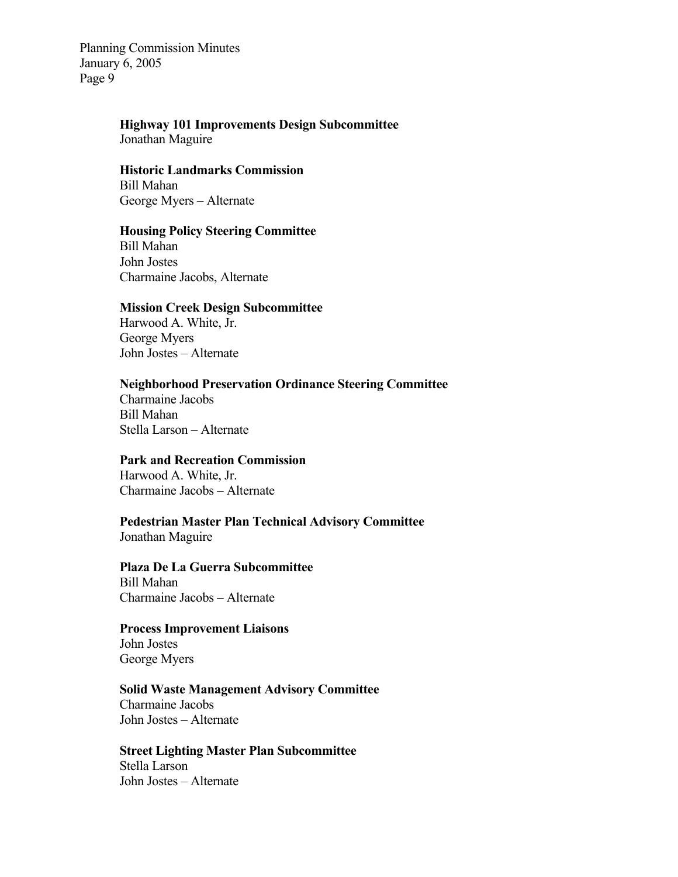# **Highway 101 Improvements Design Subcommittee**

Jonathan Maguire

#### **Historic Landmarks Commission**  Bill Mahan George Myers – Alternate

#### **Housing Policy Steering Committee**

Bill Mahan John Jostes Charmaine Jacobs, Alternate

#### **Mission Creek Design Subcommittee**

Harwood A. White, Jr. George Myers John Jostes – Alternate

#### **Neighborhood Preservation Ordinance Steering Committee**

Charmaine Jacobs Bill Mahan Stella Larson – Alternate

#### **Park and Recreation Commission**

Harwood A. White, Jr. Charmaine Jacobs – Alternate

# **Pedestrian Master Plan Technical Advisory Committee**

Jonathan Maguire

#### **Plaza De La Guerra Subcommittee**  Bill Mahan

Charmaine Jacobs – Alternate

#### **Process Improvement Liaisons**

John Jostes George Myers

#### **Solid Waste Management Advisory Committee**  Charmaine Jacobs

John Jostes – Alternate

### **Street Lighting Master Plan Subcommittee**  Stella Larson

John Jostes – Alternate